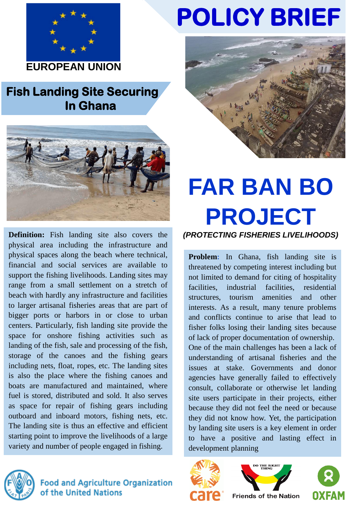

**EUROPEAN UNION** 

## **Fish Landing Site Securing In Ghana**



**Definition:** Fish landing site also covers the physical area including the infrastructure and physical spaces along the beach where technical, financial and social services are available to support the fishing livelihoods. Landing sites may range from a small settlement on a stretch of beach with hardly any infrastructure and facilities to larger artisanal fisheries areas that are part of bigger ports or harbors in or close to urban centers. Particularly, fish landing site provide the space for onshore fishing activities such as landing of the fish, sale and processing of the fish, storage of the canoes and the fishing gears including nets, float, ropes, etc. The landing sites is also the place where the fishing canoes and boats are manufactured and maintained, where fuel is stored, distributed and sold. It also serves as space for repair of fishing gears including outboard and inboard motors, fishing nets, etc. The landing site is thus an effective and efficient starting point to improve the livelihoods of a large variety and number of people engaged in fishing.



**Food and Agriculture Organization** of the United Nations

## **POLICY BRIEF**



# **FAR BAN BO PROJECT**

*(PROTECTING FISHERIES LIVELIHOODS)*

**Problem:** In Ghana, fish landing site is threatened by competing interest including but not limited to demand for citing of hospitality facilities, industrial facilities, residential structures, tourism amenities and other interests. As a result, many tenure problems and conflicts continue to arise that lead to fisher folks losing their landing sites because of lack of proper documentation of ownership. One of the main challenges has been a lack of understanding of artisanal fisheries and the issues at stake. Governments and donor agencies have generally failed to effectively consult, collaborate or otherwise let landing site users participate in their projects, either because they did not feel the need or because they did not know how. Yet, the participation by landing site users is a key element in order to have a positive and lasting effect in development planning







**Friends of the Nation**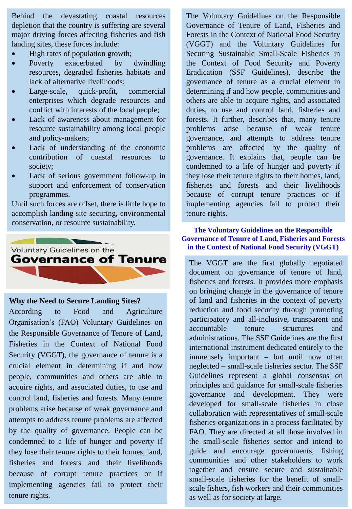Behind the devastating coastal resources depletion that the country is suffering are several major driving forces affecting fisheries and fish landing sites, these forces include:

- High rates of population growth;
- Poverty exacerbated by dwindling resources, degraded fisheries habitats and lack of alternative livelihoods;
- Large-scale, quick-profit, commercial enterprises which degrade resources and conflict with interests of the local people;
- Lack of awareness about management for resource sustainability among local people and policy-makers;
- Lack of understanding of the economic contribution of coastal resources to society;
- Lack of serious government follow-up in support and enforcement of conservation programmes.

Until such forces are offset, there is little hope to accomplish landing site securing, environmental conservation, or resource sustainability.



**Why the Need to Secure Landing Sites?**

According to Food and Agriculture Organisation's (FAO) Voluntary Guidelines on the Responsible Governance of Tenure of Land, Fisheries in the Context of National Food Security (VGGT), the governance of tenure is a crucial element in determining if and how people, communities and others are able to acquire rights, and associated duties, to use and control land, fisheries and forests. Many tenure problems arise because of weak governance and attempts to address tenure problems are affected by the quality of governance. People can be condemned to a life of hunger and poverty if they lose their tenure rights to their homes, land, fisheries and forests and their livelihoods because of corrupt tenure practices or if implementing agencies fail to protect their tenure rights.

The Voluntary Guidelines on the Responsible Governance of Tenure of Land, Fisheries and Forests in the Context of National Food Security (VGGT) and the Voluntary Guidelines for Securing Sustainable Small-Scale Fisheries in the Context of Food Security and Poverty Eradication (SSF Guidelines), describe the governance of tenure as a crucial element in determining if and how people, communities and others are able to acquire rights, and associated duties, to use and control land, fisheries and forests. It further, describes that, many tenure problems arise because of weak tenure governance, and attempts to address tenure problems are affected by the quality of governance. It explains that, people can be condemned to a life of hunger and poverty if they lose their tenure rights to their homes, land, fisheries and forests and their livelihoods because of corrupt tenure practices or if implementing agencies fail to protect their tenure rights.

#### **The Voluntary Guidelines on the Responsible Governance of Tenure of Land, Fisheries and Forests in the Context of National Food Security (VGGT)**

The VGGT are the first globally negotiated document on governance of tenure of land, fisheries and forests. It provides more emphasis on bringing change in the governance of tenure of land and fisheries in the context of poverty reduction and food security through promoting participatory and all-inclusive, transparent and accountable tenure structures and administrations. The SSF Guidelines are the first international instrument dedicated entirely to the immensely important – but until now often neglected – small-scale fisheries sector. The SSF Guidelines represent a global consensus on principles and guidance for small-scale fisheries governance and development. They were developed for small-scale fisheries in close collaboration with representatives of small-scale fisheries organizations in a process facilitated by FAO. They are directed at all those involved in the small-scale fisheries sector and intend to guide and encourage governments, fishing communities and other stakeholders to work together and ensure secure and sustainable small-scale fisheries for the benefit of smallscale fishers, fish workers and their communities as well as for society at large.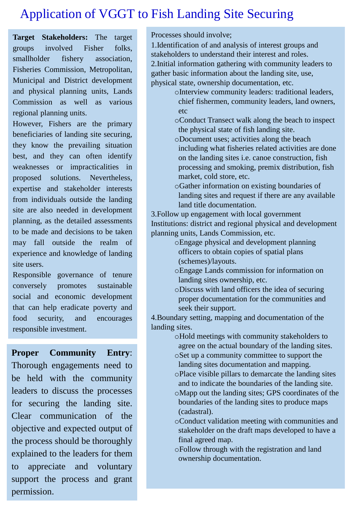## Application of VGGT to Fish Landing Site Securing

**Target Stakeholders:** The target groups involved Fisher folks, smallholder fishery association, Fisheries Commission, Metropolitan, Municipal and District development and physical planning units, Lands Commission as well as various regional planning units.

However, Fishers are the primary beneficiaries of landing site securing, they know the prevailing situation best, and they can often identify weaknesses or impracticalities in proposed solutions. Nevertheless, expertise and stakeholder interests from individuals outside the landing site are also needed in development planning, as the detailed assessments to be made and decisions to be taken may fall outside the realm of experience and knowledge of landing site users.

Responsible governance of tenure conversely promotes sustainable social and economic development that can help eradicate poverty and food security, and encourages responsible investment.

**Proper Community Entry**: Thorough engagements need to be held with the community leaders to discuss the processes for securing the landing site. Clear communication of the objective and expected output of the process should be thoroughly explained to the leaders for them to appreciate and voluntary support the process and grant permission.

Processes should involve;

1.Identification of and analysis of interest groups and stakeholders to understand their interest and roles. 2.Initial information gathering with community leaders to gather basic information about the landing site, use, physical state, ownership documentation, etc.

- oInterview community leaders: traditional leaders, chief fishermen, community leaders, land owners, etc
- oConduct Transect walk along the beach to inspect the physical state of fish landing site.
- oDocument uses; activities along the beach including what fisheries related activities are done on the landing sites i.e. canoe construction, fish processing and smoking, premix distribution, fish market, cold store, etc.
- oGather information on existing boundaries of landing sites and request if there are any available land title documentation.

3.Follow up engagement with local government Institutions: district and regional physical and development planning units, Lands Commission, etc.

- oEngage physical and development planning officers to obtain copies of spatial plans (schemes)/layouts.
- oEngage Lands commission for information on landing sites ownership, etc.
- oDiscuss with land officers the idea of securing proper documentation for the communities and seek their support.

4.Boundary setting, mapping and documentation of the landing sites.

- oHold meetings with community stakeholders to agree on the actual boundary of the landing sites. oSet up a community committee to support the
	- landing sites documentation and mapping.
	- oPlace visible pillars to demarcate the landing sites and to indicate the boundaries of the landing site.
	- oMapp out the landing sites; GPS coordinates of the boundaries of the landing sites to produce maps (cadastral).
	- oConduct validation meeting with communities and stakeholder on the draft maps developed to have a final agreed map.
	- oFollow through with the registration and land ownership documentation.